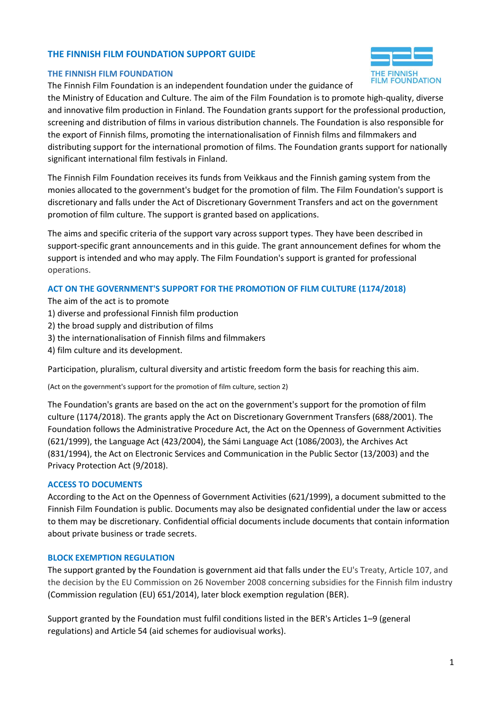#### **THE FINNISH FILM FOUNDATION SUPPORT GUIDE**

#### **THE FINNISH FILM FOUNDATION**

The Finnish Film Foundation is an independent foundation under the guidance of the Ministry of Education and Culture. The aim of the Film Foundation is to promote high-quality, diverse and innovative film production in Finland. The Foundation grants support for the professional production, screening and distribution of films in various distribution channels. The Foundation is also responsible for

the export of Finnish films, promoting the internationalisation of Finnish films and filmmakers and distributing support for the international promotion of films. The Foundation grants support for nationally significant international film festivals in Finland.

The Finnish Film Foundation receives its funds from Veikkaus and the Finnish gaming system from the monies allocated to the government's budget for the promotion of film. The Film Foundation's support is discretionary and falls under the Act of Discretionary Government Transfers and act on the government promotion of film culture. The support is granted based on applications.

The aims and specific criteria of the support vary across support types. They have been described in support-specific grant announcements and in this guide. The grant announcement defines for whom the support is intended and who may apply. The Film Foundation's support is granted for professional operations.

#### **ACT ON THE GOVERNMENT'S SUPPORT FOR THE PROMOTION OF FILM CULTURE (1174/2018)**

The aim of the act is to promote

- 1) diverse and professional Finnish film production
- 2) the broad supply and distribution of films
- 3) the internationalisation of Finnish films and filmmakers
- 4) film culture and its development.

Participation, pluralism, cultural diversity and artistic freedom form the basis for reaching this aim.

(Act on the government's support for the promotion of film culture, section 2)

The Foundation's grants are based on the act on the government's support for the promotion of film culture (1174/2018). The grants apply the Act on Discretionary Government Transfers (688/2001). The Foundation follows the Administrative Procedure Act, the Act on the Openness of Government Activities (621/1999), the Language Act (423/2004), the Sámi Language Act (1086/2003), the Archives Act (831/1994), the Act on Electronic Services and Communication in the Public Sector (13/2003) and the Privacy Protection Act (9/2018).

#### **ACCESS TO DOCUMENTS**

According to the Act on the Openness of Government Activities (621/1999), a document submitted to the Finnish Film Foundation is public. Documents may also be designated confidential under the law or access to them may be discretionary. Confidential official documents include documents that contain information about private business or trade secrets.

#### **BLOCK EXEMPTION REGULATION**

The support granted by the Foundation is government aid that falls under the EU's Treaty, Article 107, and the decision by the EU Commission on 26 November 2008 concerning subsidies for the Finnish film industry (Commission regulation (EU) 651/2014), later block exemption regulation (BER).

Support granted by the Foundation must fulfil conditions listed in the BER's Articles 1–9 (general regulations) and Article 54 (aid schemes for audiovisual works).

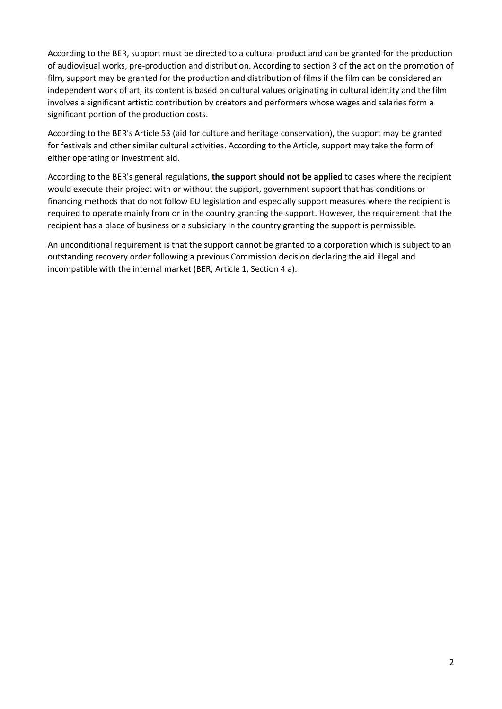According to the BER, support must be directed to a cultural product and can be granted for the production of audiovisual works, pre-production and distribution. According to section 3 of the act on the promotion of film, support may be granted for the production and distribution of films if the film can be considered an independent work of art, its content is based on cultural values originating in cultural identity and the film involves a significant artistic contribution by creators and performers whose wages and salaries form a significant portion of the production costs.

According to the BER's Article 53 (aid for culture and heritage conservation), the support may be granted for festivals and other similar cultural activities. According to the Article, support may take the form of either operating or investment aid.

According to the BER's general regulations, **the support should not be applied** to cases where the recipient would execute their project with or without the support, government support that has conditions or financing methods that do not follow EU legislation and especially support measures where the recipient is required to operate mainly from or in the country granting the support. However, the requirement that the recipient has a place of business or a subsidiary in the country granting the support is permissible.

An unconditional requirement is that the support cannot be granted to a corporation which is subject to an outstanding recovery order following a previous Commission decision declaring the aid illegal and incompatible with the internal market (BER, Article 1, Section 4 a).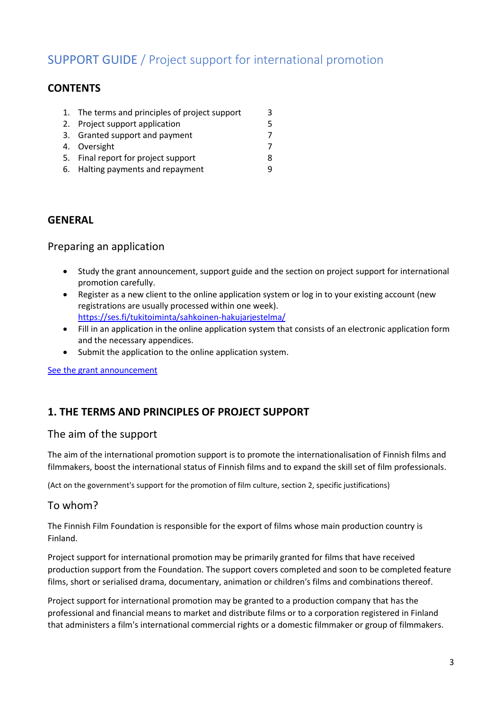# SUPPORT GUIDE / Project support for international promotion

## **CONTENTS**

| 1. The terms and principles of project support | 3 |
|------------------------------------------------|---|
| 2. Project support application                 | 5 |
| 3. Granted support and payment                 | 7 |
| 4. Oversight                                   |   |
| 5. Final report for project support            | 8 |

6. Halting payments and repayment 9

### **GENERAL**

### Preparing an application

- Study the grant announcement, support guide and the section on project support for international promotion carefully.
- Register as a new client to the online application system or log in to your existing account (new registrations are usually processed within one week). <https://ses.fi/tukitoiminta/sahkoinen-hakujarjestelma/>
- Fill in an application in the online application system that consists of an electronic application form and the necessary appendices.
- Submit the application to the online application system.

See [the grant announcement](https://ses.fi/en/funding/grant-announcements-and-deadlines/)

## **1. THE TERMS AND PRINCIPLES OF PROJECT SUPPORT**

### The aim of the support

The aim of the international promotion support is to promote the internationalisation of Finnish films and filmmakers, boost the international status of Finnish films and to expand the skill set of film professionals.

(Act on the government's support for the promotion of film culture, section 2, specific justifications)

### To whom?

The Finnish Film Foundation is responsible for the export of films whose main production country is Finland.

Project support for international promotion may be primarily granted for films that have received production support from the Foundation. The support covers completed and soon to be completed feature films, short or serialised drama, documentary, animation or children's films and combinations thereof.

Project support for international promotion may be granted to a production company that has the professional and financial means to market and distribute films or to a corporation registered in Finland that administers a film's international commercial rights or a domestic filmmaker or group of filmmakers.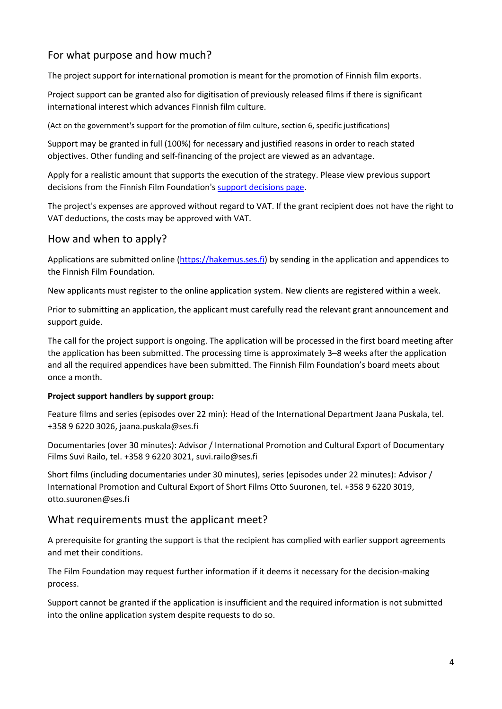## For what purpose and how much?

The project support for international promotion is meant for the promotion of Finnish film exports.

Project support can be granted also for digitisation of previously released films if there is significant international interest which advances Finnish film culture.

(Act on the government's support for the promotion of film culture, section 6, specific justifications)

Support may be granted in full (100%) for necessary and justified reasons in order to reach stated objectives. Other funding and self-financing of the project are viewed as an advantage.

Apply for a realistic amount that supports the execution of the strategy. Please view previous support decisions from the Finnish Film Foundation's [support decisions page.](https://ses.fi/tukitoiminta/tukipaatokset/)

The project's expenses are approved without regard to VAT. If the grant recipient does not have the right to VAT deductions, the costs may be approved with VAT.

### How and when to apply?

Applications are submitted online [\(https://hakemus.ses.fi\)](https://hakemus.ses.fi:7503/tukihakemukset/faces/asiakasrekisteri) by sending in the application and appendices to the Finnish Film Foundation.

New applicants must register to the online application system. New clients are registered within a week.

Prior to submitting an application, the applicant must carefully read the relevant grant announcement and support guide.

The call for the project support is ongoing. The application will be processed in the first board meeting after the application has been submitted. The processing time is approximately 3–8 weeks after the application and all the required appendices have been submitted. The Finnish Film Foundation's board meets about once a month.

#### **Project support handlers by support group:**

Feature films and series (episodes over 22 min): Head of the International Department Jaana Puskala, tel. +358 9 6220 3026, jaana.puskala@ses.fi

Documentaries (over 30 minutes): Advisor / International Promotion and Cultural Export of Documentary Films Suvi Railo, tel. +358 9 6220 3021, suvi.railo@ses.fi

Short films (including documentaries under 30 minutes), series (episodes under 22 minutes): Advisor / International Promotion and Cultural Export of Short Films Otto Suuronen, tel. +358 9 6220 3019, otto.suuronen@ses.fi

### What requirements must the applicant meet?

A prerequisite for granting the support is that the recipient has complied with earlier support agreements and met their conditions.

The Film Foundation may request further information if it deems it necessary for the decision-making process.

Support cannot be granted if the application is insufficient and the required information is not submitted into the online application system despite requests to do so.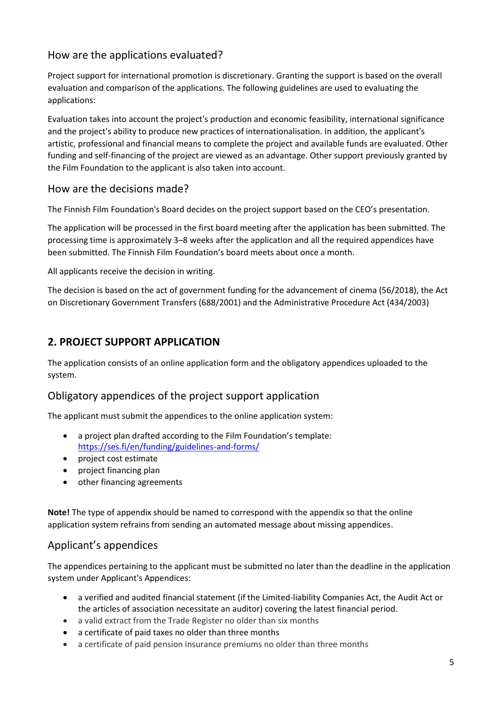## How are the applications evaluated?

Project support for international promotion is discretionary. Granting the support is based on the overall evaluation and comparison of the applications. The following guidelines are used to evaluating the applications:

Evaluation takes into account the project's production and economic feasibility, international significance and the project's ability to produce new practices of internationalisation. In addition, the applicant's artistic, professional and financial means to complete the project and available funds are evaluated. Other funding and self-financing of the project are viewed as an advantage. Other support previously granted by the Film Foundation to the applicant is also taken into account.

## How are the decisions made?

The Finnish Film Foundation's Board decides on the project support based on the CEO's presentation.

The application will be processed in the first board meeting after the application has been submitted. The processing time is approximately 3–8 weeks after the application and all the required appendices have been submitted. The Finnish Film Foundation's board meets about once a month.

All applicants receive the decision in writing.

The decision is based on the act of government funding for the advancement of cinema (56/2018), the Act on Discretionary Government Transfers (688/2001) and the Administrative Procedure Act (434/2003)

## **2. PROJECT SUPPORT APPLICATION**

The application consists of an online application form and the obligatory appendices uploaded to the system.

### Obligatory appendices of the project support application

The applicant must submit the appendices to the online application system:

- a project plan drafted according to the Film Foundation's template: <https://ses.fi/en/funding/guidelines-and-forms/>
- project cost estimate
- project financing plan
- other financing agreements

**Note!** The type of appendix should be named to correspond with the appendix so that the online application system refrains from sending an automated message about missing appendices.

## Applicant's appendices

The appendices pertaining to the applicant must be submitted no later than the deadline in the application system under Applicant's Appendices:

- a verified and audited financial statement (if the Limited-liability Companies Act, the Audit Act or the articles of association necessitate an auditor) covering the latest financial period.
- a valid extract from the Trade Register no older than six months
- a certificate of paid taxes no older than three months
- a certificate of paid pension insurance premiums no older than three months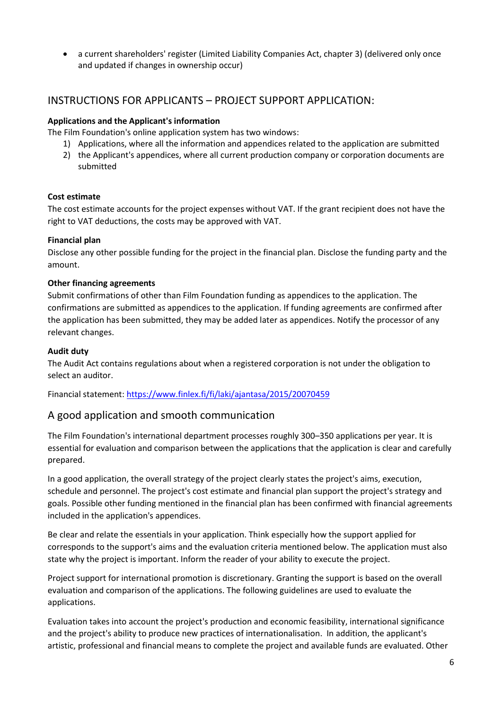• a current shareholders' register (Limited Liability Companies Act, chapter 3) (delivered only once and updated if changes in ownership occur)

## INSTRUCTIONS FOR APPLICANTS – PROJECT SUPPORT APPLICATION:

#### **Applications and the Applicant's information**

The Film Foundation's online application system has two windows:

- 1) Applications, where all the information and appendices related to the application are submitted
- 2) the Applicant's appendices, where all current production company or corporation documents are submitted

#### **Cost estimate**

The cost estimate accounts for the project expenses without VAT. If the grant recipient does not have the right to VAT deductions, the costs may be approved with VAT.

#### **Financial plan**

Disclose any other possible funding for the project in the financial plan. Disclose the funding party and the amount.

#### **Other financing agreements**

Submit confirmations of other than Film Foundation funding as appendices to the application. The confirmations are submitted as appendices to the application. If funding agreements are confirmed after the application has been submitted, they may be added later as appendices. Notify the processor of any relevant changes.

#### **Audit duty**

The Audit Act contains regulations about when a registered corporation is not under the obligation to select an auditor.

Financial statement:<https://www.finlex.fi/fi/laki/ajantasa/2015/20070459>

### A good application and smooth communication

The Film Foundation's international department processes roughly 300–350 applications per year. It is essential for evaluation and comparison between the applications that the application is clear and carefully prepared.

In a good application, the overall strategy of the project clearly states the project's aims, execution, schedule and personnel. The project's cost estimate and financial plan support the project's strategy and goals. Possible other funding mentioned in the financial plan has been confirmed with financial agreements included in the application's appendices.

Be clear and relate the essentials in your application. Think especially how the support applied for corresponds to the support's aims and the evaluation criteria mentioned below. The application must also state why the project is important. Inform the reader of your ability to execute the project.

Project support for international promotion is discretionary. Granting the support is based on the overall evaluation and comparison of the applications. The following guidelines are used to evaluate the applications.

Evaluation takes into account the project's production and economic feasibility, international significance and the project's ability to produce new practices of internationalisation. In addition, the applicant's artistic, professional and financial means to complete the project and available funds are evaluated. Other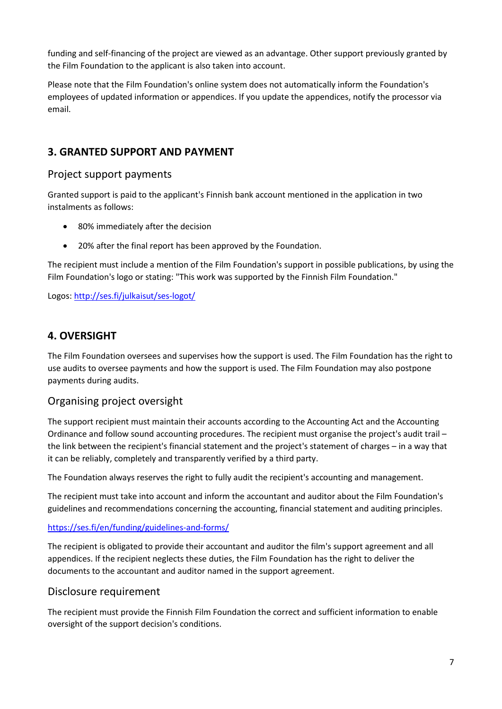funding and self-financing of the project are viewed as an advantage. Other support previously granted by the Film Foundation to the applicant is also taken into account.

Please note that the Film Foundation's online system does not automatically inform the Foundation's employees of updated information or appendices. If you update the appendices, notify the processor via email.

## **3. GRANTED SUPPORT AND PAYMENT**

### Project support payments

Granted support is paid to the applicant's Finnish bank account mentioned in the application in two instalments as follows:

- 80% immediately after the decision
- 20% after the final report has been approved by the Foundation.

The recipient must include a mention of the Film Foundation's support in possible publications, by using the Film Foundation's logo or stating: "This work was supported by the Finnish Film Foundation."

Logos:<http://ses.fi/julkaisut/ses-logot/>

## **4. OVERSIGHT**

The Film Foundation oversees and supervises how the support is used. The Film Foundation has the right to use audits to oversee payments and how the support is used. The Film Foundation may also postpone payments during audits.

## Organising project oversight

The support recipient must maintain their accounts according to the Accounting Act and the Accounting Ordinance and follow sound accounting procedures. The recipient must organise the project's audit trail – the link between the recipient's financial statement and the project's statement of charges – in a way that it can be reliably, completely and transparently verified by a third party.

The Foundation always reserves the right to fully audit the recipient's accounting and management.

The recipient must take into account and inform the accountant and auditor about the Film Foundation's guidelines and recommendations concerning the accounting, financial statement and auditing principles.

### <https://ses.fi/en/funding/guidelines-and-forms/>

The recipient is obligated to provide their accountant and auditor the film's support agreement and all appendices. If the recipient neglects these duties, the Film Foundation has the right to deliver the documents to the accountant and auditor named in the support agreement.

### Disclosure requirement

The recipient must provide the Finnish Film Foundation the correct and sufficient information to enable oversight of the support decision's conditions.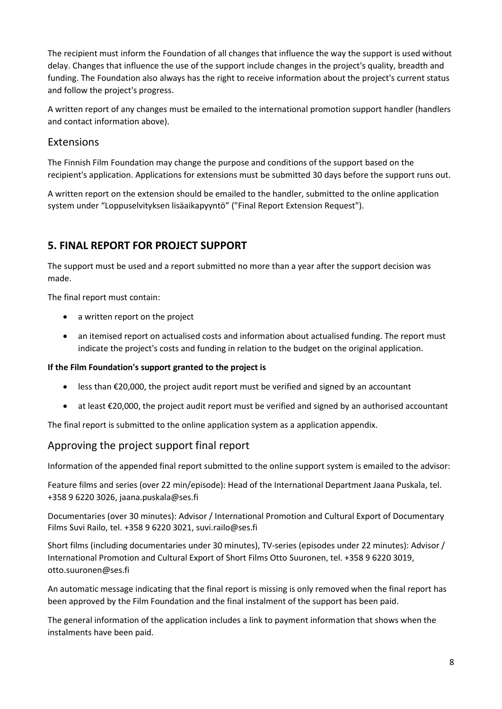The recipient must inform the Foundation of all changes that influence the way the support is used without delay. Changes that influence the use of the support include changes in the project's quality, breadth and funding. The Foundation also always has the right to receive information about the project's current status and follow the project's progress.

A written report of any changes must be emailed to the international promotion support handler (handlers and contact information above).

### Extensions

The Finnish Film Foundation may change the purpose and conditions of the support based on the recipient's application. Applications for extensions must be submitted 30 days before the support runs out.

A written report on the extension should be emailed to the handler, submitted to the online application system under "Loppuselvityksen lisäaikapyyntö" ("Final Report Extension Request").

## **5. FINAL REPORT FOR PROJECT SUPPORT**

The support must be used and a report submitted no more than a year after the support decision was made.

The final report must contain:

- a written report on the project
- an itemised report on actualised costs and information about actualised funding. The report must indicate the project's costs and funding in relation to the budget on the original application.

#### **If the Film Foundation's support granted to the project is**

- less than €20,000, the project audit report must be verified and signed by an accountant
- at least €20,000, the project audit report must be verified and signed by an authorised accountant

The final report is submitted to the online application system as a application appendix.

## Approving the project support final report

Information of the appended final report submitted to the online support system is emailed to the advisor:

Feature films and series (over 22 min/episode): Head of the International Department Jaana Puskala, tel. +358 9 6220 3026, jaana.puskala@ses.fi

Documentaries (over 30 minutes): Advisor / International Promotion and Cultural Export of Documentary Films Suvi Railo, tel. +358 9 6220 3021, suvi.railo@ses.fi

Short films (including documentaries under 30 minutes), TV-series (episodes under 22 minutes): Advisor / International Promotion and Cultural Export of Short Films Otto Suuronen, tel. +358 9 6220 3019, otto.suuronen@ses.fi

An automatic message indicating that the final report is missing is only removed when the final report has been approved by the Film Foundation and the final instalment of the support has been paid.

The general information of the application includes a link to payment information that shows when the instalments have been paid.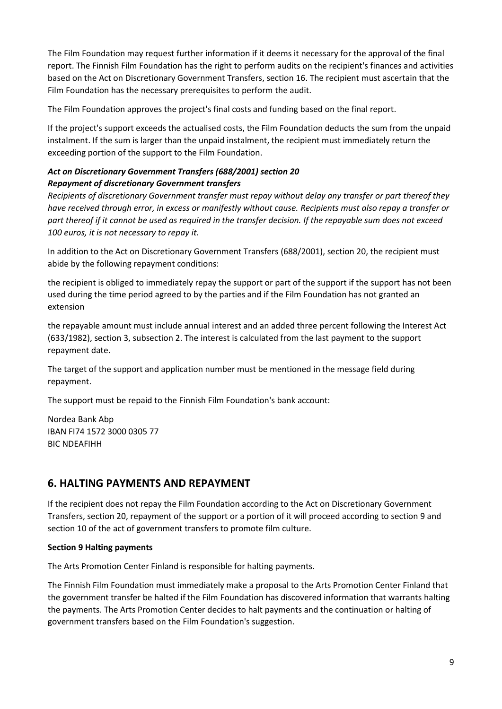The Film Foundation may request further information if it deems it necessary for the approval of the final report. The Finnish Film Foundation has the right to perform audits on the recipient's finances and activities based on the Act on Discretionary Government Transfers, section 16. The recipient must ascertain that the Film Foundation has the necessary prerequisites to perform the audit.

The Film Foundation approves the project's final costs and funding based on the final report.

If the project's support exceeds the actualised costs, the Film Foundation deducts the sum from the unpaid instalment. If the sum is larger than the unpaid instalment, the recipient must immediately return the exceeding portion of the support to the Film Foundation.

### *Act on Discretionary Government Transfers (688/2001) section 20 Repayment of discretionary Government transfers*

*Recipients of discretionary Government transfer must repay without delay any transfer or part thereof they have received through error, in excess or manifestly without cause. Recipients must also repay a transfer or part thereof if it cannot be used as required in the transfer decision. If the repayable sum does not exceed 100 euros, it is not necessary to repay it.*

In addition to the Act on Discretionary Government Transfers (688/2001), section 20, the recipient must abide by the following repayment conditions:

the recipient is obliged to immediately repay the support or part of the support if the support has not been used during the time period agreed to by the parties and if the Film Foundation has not granted an extension

the repayable amount must include annual interest and an added three percent following the Interest Act (633/1982), section 3, subsection 2. The interest is calculated from the last payment to the support repayment date.

The target of the support and application number must be mentioned in the message field during repayment.

The support must be repaid to the Finnish Film Foundation's bank account:

Nordea Bank Abp IBAN FI74 1572 3000 0305 77 BIC NDEAFIHH

## **6. HALTING PAYMENTS AND REPAYMENT**

If the recipient does not repay the Film Foundation according to the Act on Discretionary Government Transfers, section 20, repayment of the support or a portion of it will proceed according to section 9 and section 10 of the act of government transfers to promote film culture.

#### **Section 9 Halting payments**

The Arts Promotion Center Finland is responsible for halting payments.

The Finnish Film Foundation must immediately make a proposal to the Arts Promotion Center Finland that the government transfer be halted if the Film Foundation has discovered information that warrants halting the payments. The Arts Promotion Center decides to halt payments and the continuation or halting of government transfers based on the Film Foundation's suggestion.